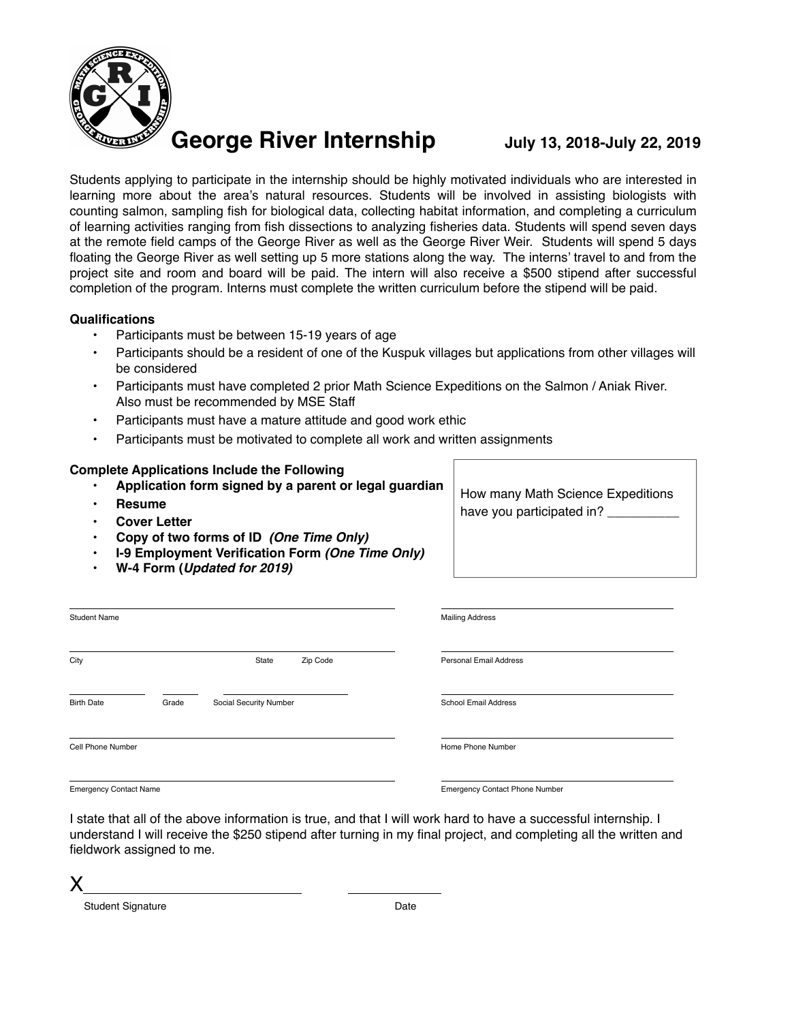

Students applying to participate in the internship should be highly motivated individuals who are interested in learning more about the area's natural resources. Students will be involved in assisting biologists with counting salmon, sampling fish for biological data, collecting habitat information, and completing a curriculum of learning activities ranging from fish dissections to analyzing fisheries data. Students will spend seven days at the remote field camps of the George River as well as the George River Weir. Students will spend 5 days floating the George River as well setting up 5 more stations along the way. The interns' travel to and from the project site and room and board will be paid. The intern will also receive a \$500 stipend after successful completion of the program. Interns must complete the written curriculum before the stipend will be paid.

#### **Qualifications**

- Participants must be between 15-19 years of age
- Participants should be a resident of one of the Kuspuk villages but applications from other villages will be considered
- Participants must have completed 2 prior Math Science Expeditions on the Salmon / Aniak River. Also must be recommended by MSE Staff
- Participants must have a mature attitude and good work ethic
- Participants must be motivated to complete all work and written assignments

### **Complete Applications Include the Following**

- **Application form signed by a parent or legal guardian**
- **Resume**
- **Cover Letter**
- **• Copy of two forms of ID** *(One Time Only)*
- **I-9 Employment Verification Form** *(One Time Only)*
- **W-4 Form (***Updated for 2019)*

How many Math Science Expeditions have you participated in?

| <b>Student Name</b> |       |                        |          | <b>Mailing Address</b>      |  |
|---------------------|-------|------------------------|----------|-----------------------------|--|
| City                |       | State                  | Zip Code | Personal Email Address      |  |
| <b>Birth Date</b>   | Grade | Social Security Number |          | <b>School Email Address</b> |  |
| Cell Phone Number   |       |                        |          | Home Phone Number           |  |

Emergency Contact Name Emergency Contact Phone Number

I state that all of the above information is true, and that I will work hard to have a successful internship. I understand I will receive the \$250 stipend after turning in my final project, and completing all the written and fieldwork assigned to me.

X

Student Signature Date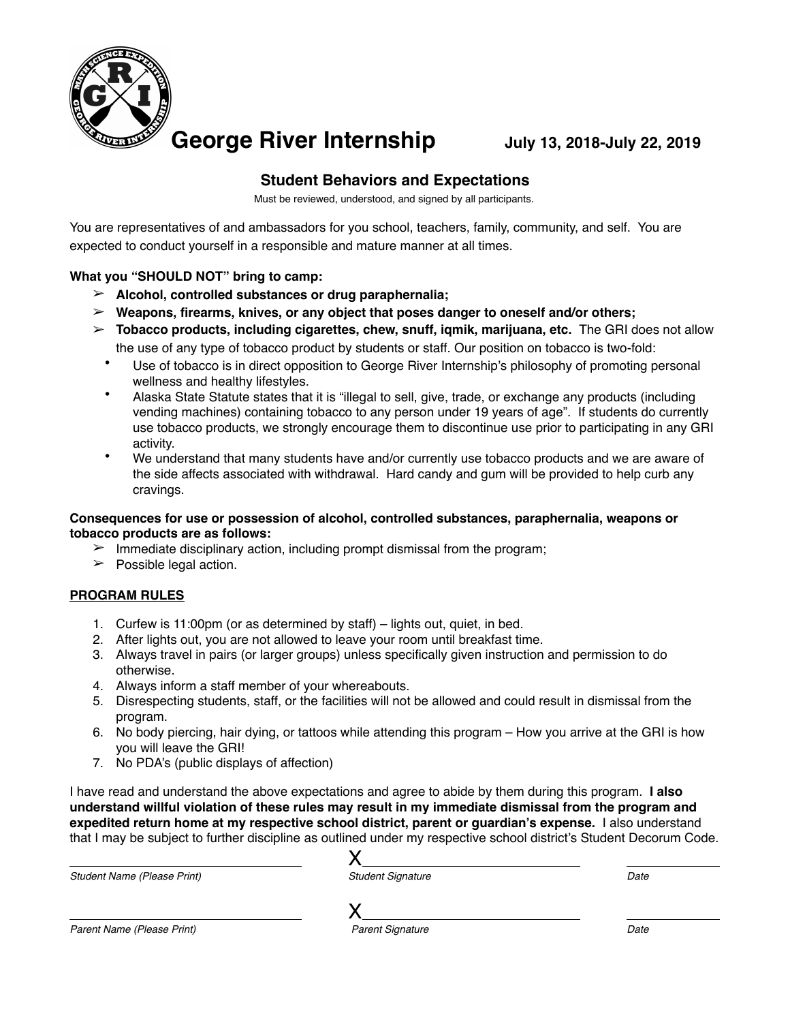

## **Student Behaviors and Expectations**

Must be reviewed, understood, and signed by all participants.

You are representatives of and ambassadors for you school, teachers, family, community, and self. You are expected to conduct yourself in a responsible and mature manner at all times.

## **What you "SHOULD NOT" bring to camp:**

- ➢ **Alcohol, controlled substances or drug paraphernalia;**
- ➢ **Weapons, firearms, knives, or any object that poses danger to oneself and/or others;**
- ➢ **Tobacco products, including cigarettes, chew, snuff, iqmik, marijuana, etc.** The GRI does not allow the use of any type of tobacco product by students or staff. Our position on tobacco is two-fold:
	- Use of tobacco is in direct opposition to George River Internship's philosophy of promoting personal wellness and healthy lifestyles.
	- Alaska State Statute states that it is "illegal to sell, give, trade, or exchange any products (including vending machines) containing tobacco to any person under 19 years of age". If students do currently use tobacco products, we strongly encourage them to discontinue use prior to participating in any GRI activity.
	- We understand that many students have and/or currently use tobacco products and we are aware of the side affects associated with withdrawal. Hard candy and gum will be provided to help curb any cravings.

#### **Consequences for use or possession of alcohol, controlled substances, paraphernalia, weapons or tobacco products are as follows:**

- $\triangleright$  Immediate disciplinary action, including prompt dismissal from the program;
- $\triangleright$  Possible legal action.

## **PROGRAM RULES**

- 1. Curfew is 11:00pm (or as determined by staff) lights out, quiet, in bed.
- 2. After lights out, you are not allowed to leave your room until breakfast time.
- 3. Always travel in pairs (or larger groups) unless specifically given instruction and permission to do otherwise.
- 4. Always inform a staff member of your whereabouts.
- 5. Disrespecting students, staff, or the facilities will not be allowed and could result in dismissal from the program.
- 6. No body piercing, hair dying, or tattoos while attending this program How you arrive at the GRI is how you will leave the GRI!
- 7. No PDA's (public displays of affection)

I have read and understand the above expectations and agree to abide by them during this program. **I also understand willful violation of these rules may result in my immediate dismissal from the program and expedited return home at my respective school district, parent or guardian's expense.** I also understand that I may be subject to further discipline as outlined under my respective school district's Student Decorum Code.

| <b>Student Name (Please Print)</b> | <b>Student Signature</b> | Date |
|------------------------------------|--------------------------|------|
|                                    |                          |      |
| Parent Name (Please Print)         | <b>Parent Signature</b>  | Date |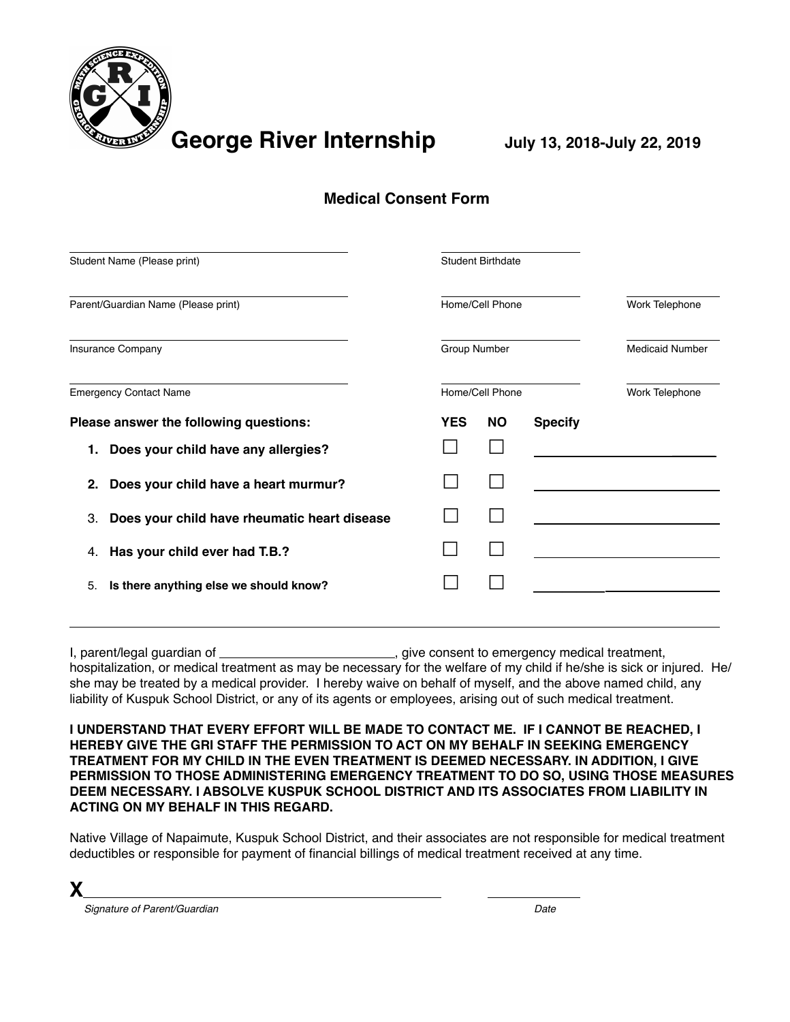

# **Medical Consent Form**

| Student Name (Please print)                        | <b>Student Birthdate</b><br>Home/Cell Phone |                 |                |                        |  |
|----------------------------------------------------|---------------------------------------------|-----------------|----------------|------------------------|--|
| Parent/Guardian Name (Please print)                |                                             |                 |                | Work Telephone         |  |
| Insurance Company                                  |                                             | Group Number    |                | <b>Medicaid Number</b> |  |
| <b>Emergency Contact Name</b>                      |                                             | Home/Cell Phone |                | Work Telephone         |  |
| Please answer the following questions:             | <b>YES</b>                                  | <b>NO</b>       | <b>Specify</b> |                        |  |
| Does your child have any allergies?<br>1.          |                                             |                 |                |                        |  |
| Does your child have a heart murmur?<br>2.         |                                             |                 |                |                        |  |
| Does your child have rheumatic heart disease<br>3. |                                             |                 |                |                        |  |
| Has your child ever had T.B.?<br>4.                |                                             |                 |                |                        |  |
| Is there anything else we should know?<br>5.       |                                             |                 |                |                        |  |
|                                                    |                                             |                 |                |                        |  |

I, parent/legal guardian of  $\Box$  give consent to emergency medical treatment, hospitalization, or medical treatment as may be necessary for the welfare of my child if he/she is sick or injured. He/ she may be treated by a medical provider. I hereby waive on behalf of myself, and the above named child, any liability of Kuspuk School District, or any of its agents or employees, arising out of such medical treatment.

**I UNDERSTAND THAT EVERY EFFORT WILL BE MADE TO CONTACT ME. IF I CANNOT BE REACHED, I HEREBY GIVE THE GRI STAFF THE PERMISSION TO ACT ON MY BEHALF IN SEEKING EMERGENCY TREATMENT FOR MY CHILD IN THE EVEN TREATMENT IS DEEMED NECESSARY. IN ADDITION, I GIVE PERMISSION TO THOSE ADMINISTERING EMERGENCY TREATMENT TO DO SO, USING THOSE MEASURES DEEM NECESSARY. I ABSOLVE KUSPUK SCHOOL DISTRICT AND ITS ASSOCIATES FROM LIABILITY IN ACTING ON MY BEHALF IN THIS REGARD.**

Native Village of Napaimute, Kuspuk School District, and their associates are not responsible for medical treatment deductibles or responsible for payment of financial billings of medical treatment received at any time.

 *Signature of Parent/Guardian Date*